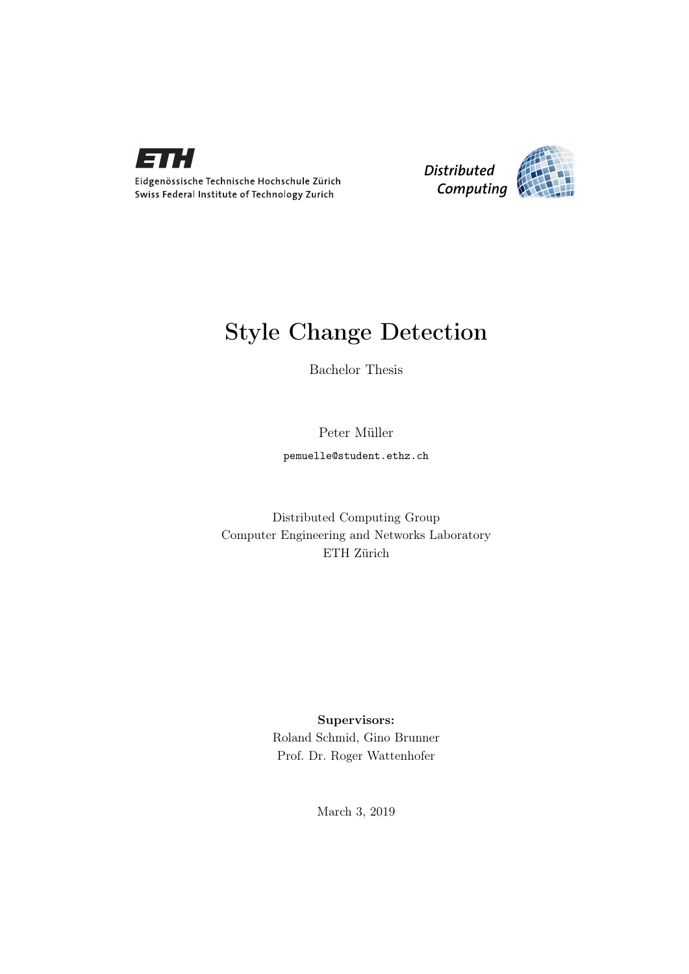

Eidgenössische Technische Hochschule Zürich Swiss Federal Institute of Technology Zurich



## Style Change Detection

Bachelor Thesis

Peter Müller

pemuelle@student.ethz.ch

Distributed Computing Group Computer Engineering and Networks Laboratory ETH Zürich

> Supervisors: Roland Schmid, Gino Brunner Prof. Dr. Roger Wattenhofer

> > March 3, 2019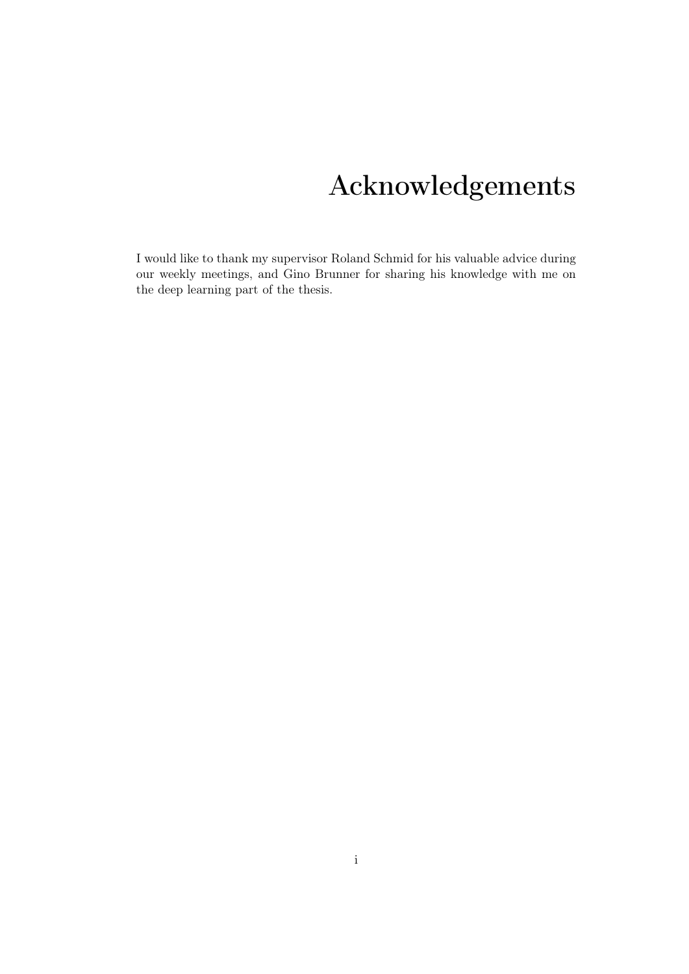## Acknowledgements

<span id="page-1-0"></span>I would like to thank my supervisor Roland Schmid for his valuable advice during our weekly meetings, and Gino Brunner for sharing his knowledge with me on the deep learning part of the thesis.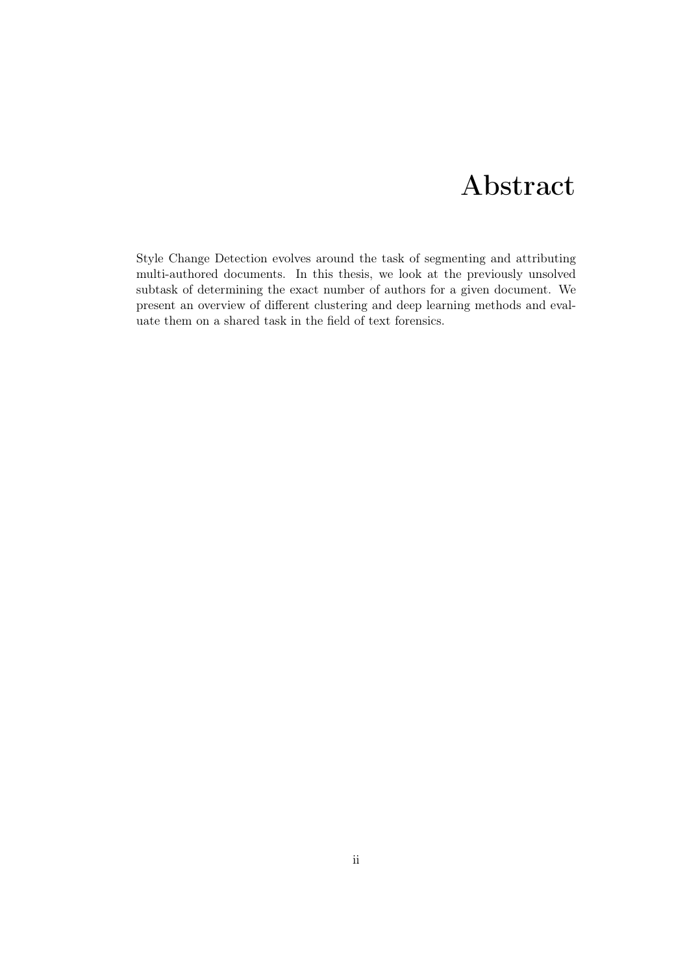## Abstract

<span id="page-2-0"></span>Style Change Detection evolves around the task of segmenting and attributing multi-authored documents. In this thesis, we look at the previously unsolved subtask of determining the exact number of authors for a given document. We present an overview of different clustering and deep learning methods and evaluate them on a shared task in the field of text forensics.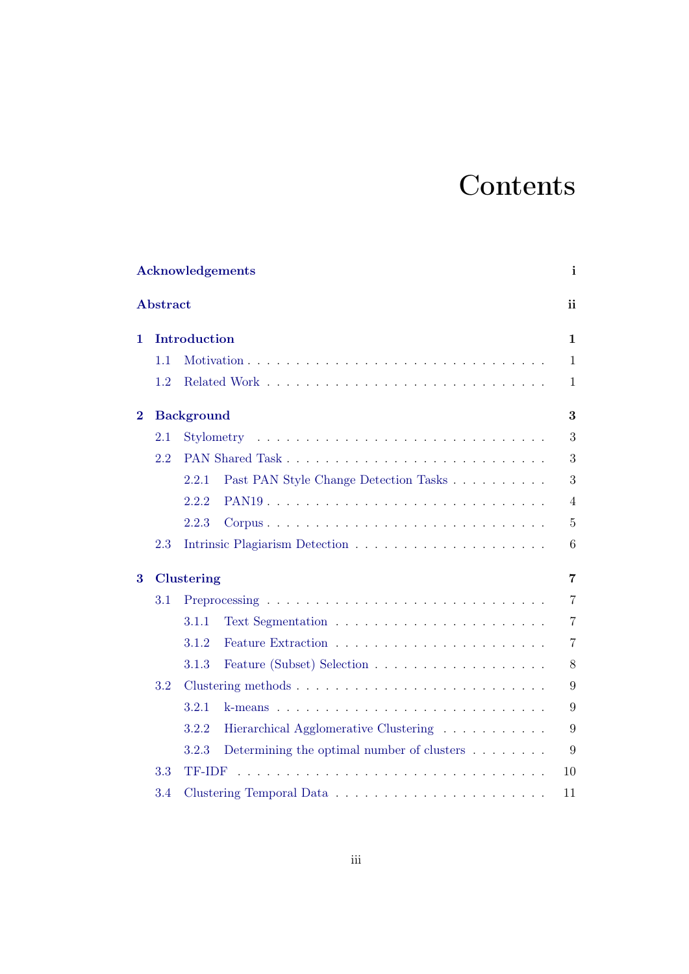## **Contents**

|                         |          | Acknowledgements                                                  | $\mathbf{i}$   |
|-------------------------|----------|-------------------------------------------------------------------|----------------|
|                         | Abstract |                                                                   | ii             |
| 1.                      |          | Introduction                                                      | $\mathbf{1}$   |
|                         | 1.1      |                                                                   | $\mathbf{1}$   |
|                         | 1.2      |                                                                   | $\mathbf{1}$   |
| $\overline{\mathbf{2}}$ |          | <b>Background</b>                                                 | 3              |
|                         | 2.1      | Stylometry                                                        | 3              |
|                         | 2.2      |                                                                   | 3              |
|                         |          | 2.2.1<br>Past PAN Style Change Detection Tasks                    | 3              |
|                         |          | 2.2.2                                                             | $\overline{4}$ |
|                         |          | 2.2.3                                                             | $\overline{5}$ |
|                         | 2.3      |                                                                   | 6              |
| 3                       |          | <b>Clustering</b>                                                 | $\overline{7}$ |
|                         | 3.1      |                                                                   | $\overline{7}$ |
|                         |          | 3.1.1                                                             | $\overline{7}$ |
|                         |          | 3.1.2                                                             | $\overline{7}$ |
|                         |          | 3.1.3                                                             | 8              |
|                         | 3.2      |                                                                   | 9              |
|                         |          | 3.2.1                                                             | 9              |
|                         |          | Hierarchical Agglomerative Clustering<br>3.2.2                    | 9              |
|                         |          | Determining the optimal number of clusters $\dots \dots$<br>3.2.3 | 9              |
|                         | 3.3      | <b>TF-IDF</b>                                                     | 10             |
|                         | 3.4      |                                                                   | 11             |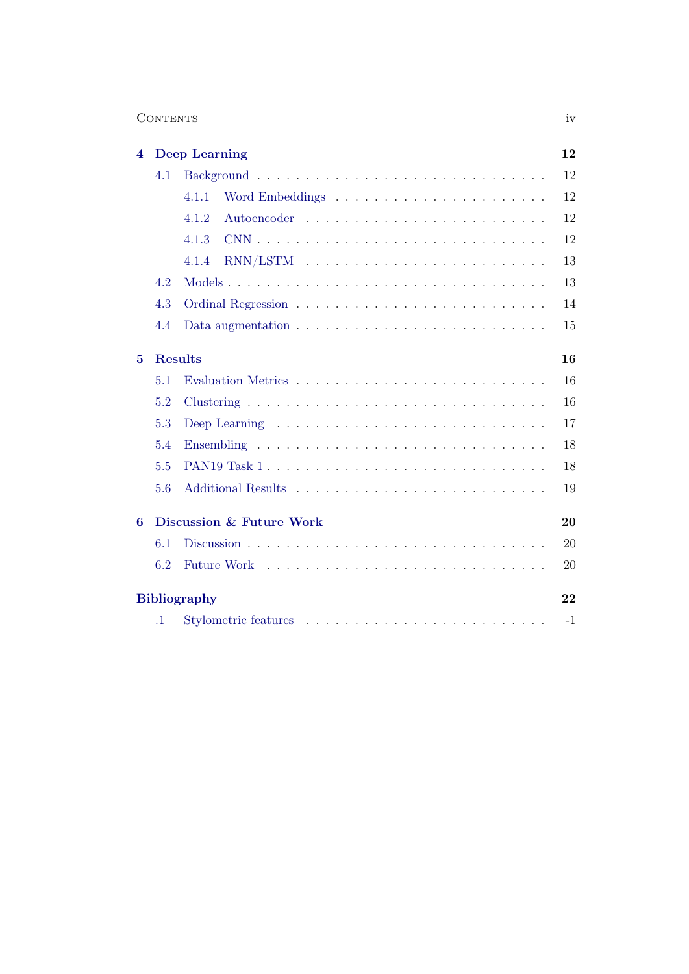| CONTENTS | 1 V Z |
|----------|-------|
|          |       |

| 4 |                | <b>Deep Learning</b>                                                               | 12   |
|---|----------------|------------------------------------------------------------------------------------|------|
|   | 4.1            |                                                                                    | 12   |
|   |                | 4.1.1                                                                              | 12   |
|   |                | 4.1.2                                                                              | 12   |
|   |                | 4.1.3                                                                              | 12   |
|   |                | 4.1.4                                                                              | 13   |
|   | 4.2            |                                                                                    | 13   |
|   | 4.3            |                                                                                    | 14   |
|   | 4.4            | Data augmentation $\ldots \ldots \ldots \ldots \ldots \ldots \ldots \ldots \ldots$ | 15   |
| 5 | <b>Results</b> |                                                                                    | 16   |
|   | 5.1            |                                                                                    | 16   |
|   | 5.2            |                                                                                    | 16   |
|   | 5.3            |                                                                                    | 17   |
|   | 5.4            |                                                                                    | 18   |
|   | 5.5            |                                                                                    | 18   |
|   | 5.6            |                                                                                    | 19   |
| 6 |                | Discussion & Future Work                                                           | 20   |
|   | 6.1            |                                                                                    | 20   |
|   | 6.2            |                                                                                    | 20   |
|   |                | <b>Bibliography</b>                                                                | 22   |
|   | $\cdot$ 1      |                                                                                    | $-1$ |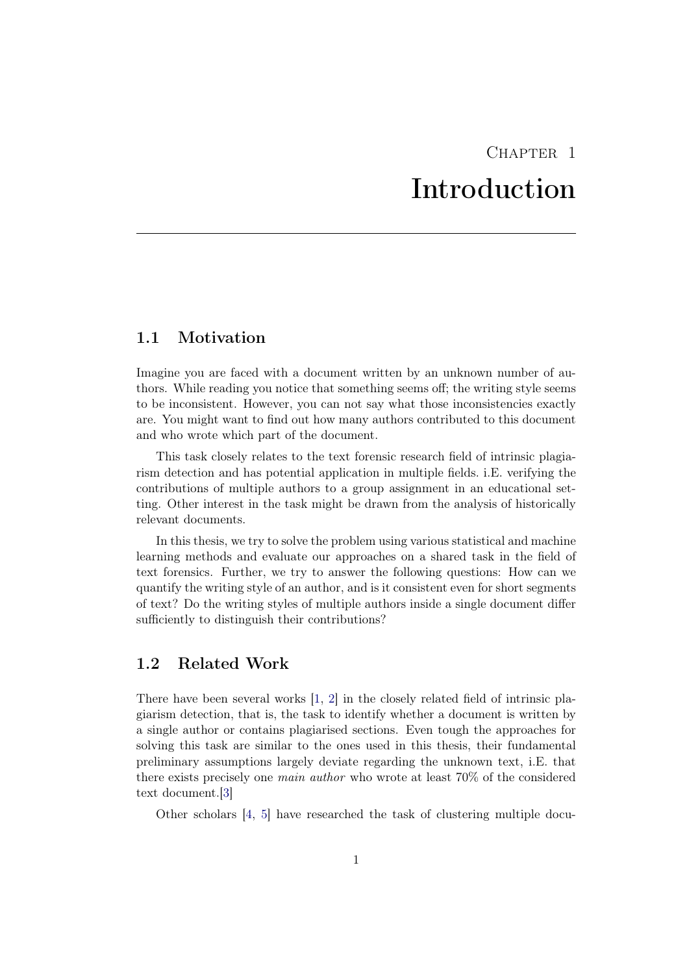## $CHAPTER$  1 Introduction

### <span id="page-5-1"></span><span id="page-5-0"></span>1.1 Motivation

Imagine you are faced with a document written by an unknown number of authors. While reading you notice that something seems off; the writing style seems to be inconsistent. However, you can not say what those inconsistencies exactly are. You might want to find out how many authors contributed to this document and who wrote which part of the document.

This task closely relates to the text forensic research field of intrinsic plagiarism detection and has potential application in multiple fields. i.E. verifying the contributions of multiple authors to a group assignment in an educational setting. Other interest in the task might be drawn from the analysis of historically relevant documents.

In this thesis, we try to solve the problem using various statistical and machine learning methods and evaluate our approaches on a shared task in the field of text forensics. Further, we try to answer the following questions: How can we quantify the writing style of an author, and is it consistent even for short segments of text? Do the writing styles of multiple authors inside a single document differ sufficiently to distinguish their contributions?

### <span id="page-5-2"></span>1.2 Related Work

There have been several works [\[1,](#page-26-1) [2\]](#page-26-2) in the closely related field of intrinsic plagiarism detection, that is, the task to identify whether a document is written by a single author or contains plagiarised sections. Even tough the approaches for solving this task are similar to the ones used in this thesis, their fundamental preliminary assumptions largely deviate regarding the unknown text, i.E. that there exists precisely one main author who wrote at least 70% of the considered text document.[\[3\]](#page-26-3)

Other scholars [\[4,](#page-26-4) [5\]](#page-26-5) have researched the task of clustering multiple docu-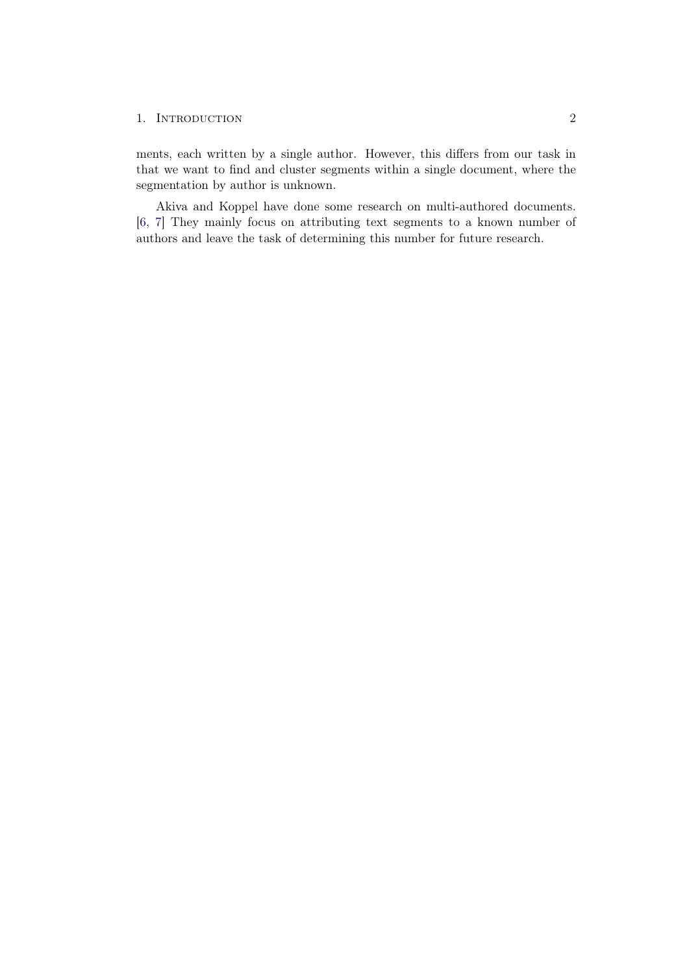#### 1. INTRODUCTION 2

ments, each written by a single author. However, this differs from our task in that we want to find and cluster segments within a single document, where the segmentation by author is unknown.

Akiva and Koppel have done some research on multi-authored documents. [\[6,](#page-26-6) [7\]](#page-26-7) They mainly focus on attributing text segments to a known number of authors and leave the task of determining this number for future research.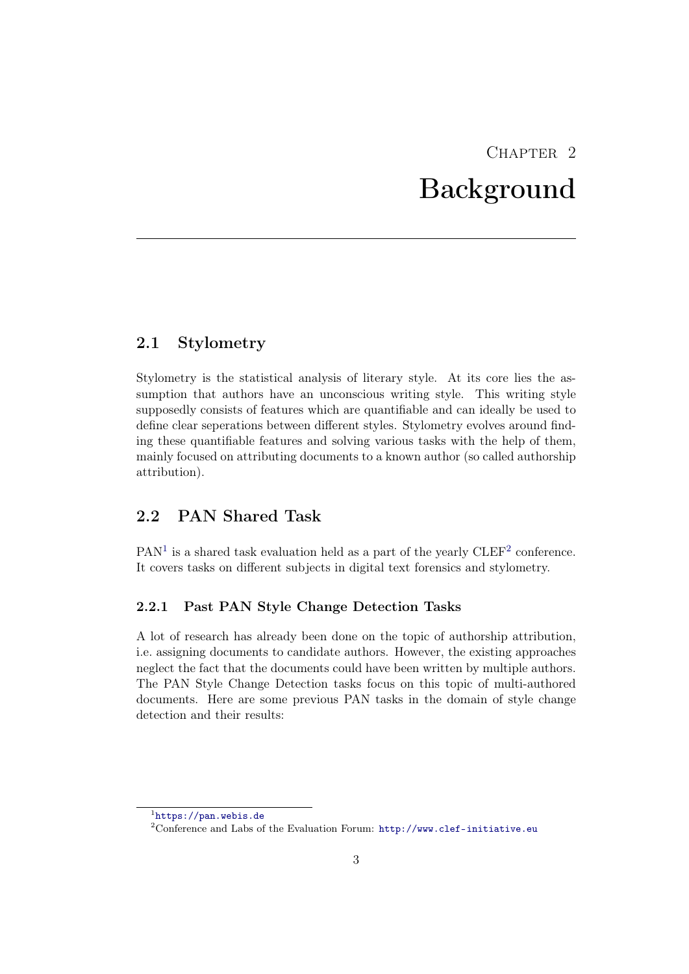## $CHAPTER$  2 Background

### <span id="page-7-1"></span><span id="page-7-0"></span>2.1 Stylometry

Stylometry is the statistical analysis of literary style. At its core lies the assumption that authors have an unconscious writing style. This writing style supposedly consists of features which are quantifiable and can ideally be used to define clear seperations between different styles. Stylometry evolves around finding these quantifiable features and solving various tasks with the help of them, mainly focused on attributing documents to a known author (so called authorship attribution).

## <span id="page-7-2"></span>2.2 PAN Shared Task

 $PAN<sup>1</sup>$  $PAN<sup>1</sup>$  $PAN<sup>1</sup>$  is a shared task evaluation held as a part of the yearly  $CDEF<sup>2</sup>$  $CDEF<sup>2</sup>$  $CDEF<sup>2</sup>$  conference. It covers tasks on different subjects in digital text forensics and stylometry.

### <span id="page-7-3"></span>2.2.1 Past PAN Style Change Detection Tasks

A lot of research has already been done on the topic of authorship attribution, i.e. assigning documents to candidate authors. However, the existing approaches neglect the fact that the documents could have been written by multiple authors. The PAN Style Change Detection tasks focus on this topic of multi-authored documents. Here are some previous PAN tasks in the domain of style change detection and their results:

<span id="page-7-4"></span> $\frac{1}{1}$ <https://pan.webis.de>

<span id="page-7-5"></span><sup>&</sup>lt;sup>2</sup>Conference and Labs of the Evaluation Forum: <http://www.clef-initiative.eu>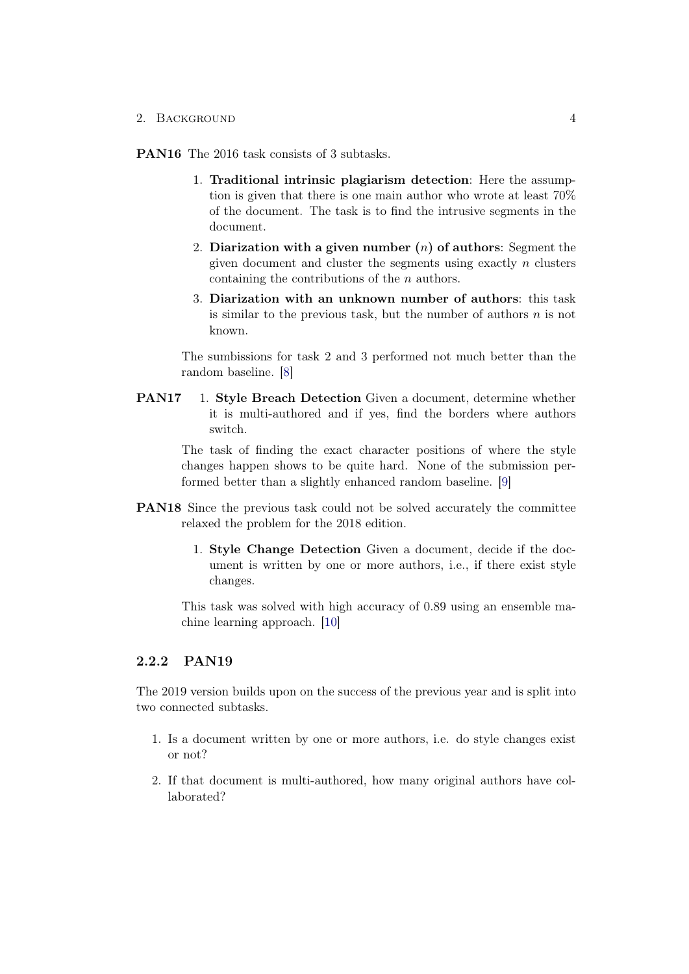2. BACKGROUND 4

PAN16 The 2016 task consists of 3 subtasks.

- 1. Traditional intrinsic plagiarism detection: Here the assumption is given that there is one main author who wrote at least 70% of the document. The task is to find the intrusive segments in the document.
- 2. Diarization with a given number  $(n)$  of authors: Segment the given document and cluster the segments using exactly  $n$  clusters containing the contributions of the n authors.
- 3. Diarization with an unknown number of authors: this task is similar to the previous task, but the number of authors  $n$  is not known.

The sumbissions for task 2 and 3 performed not much better than the random baseline. [\[8\]](#page-26-8)

PAN17 1. Style Breach Detection Given a document, determine whether it is multi-authored and if yes, find the borders where authors switch.

> The task of finding the exact character positions of where the style changes happen shows to be quite hard. None of the submission performed better than a slightly enhanced random baseline. [\[9\]](#page-26-9)

- PAN18 Since the previous task could not be solved accurately the committee relaxed the problem for the 2018 edition.
	- 1. Style Change Detection Given a document, decide if the document is written by one or more authors, i.e., if there exist style changes.

This task was solved with high accuracy of 0.89 using an ensemble machine learning approach. [\[10\]](#page-26-10)

### <span id="page-8-0"></span>2.2.2 PAN19

The 2019 version builds upon on the success of the previous year and is split into two connected subtasks.

- 1. Is a document written by one or more authors, i.e. do style changes exist or not?
- 2. If that document is multi-authored, how many original authors have collaborated?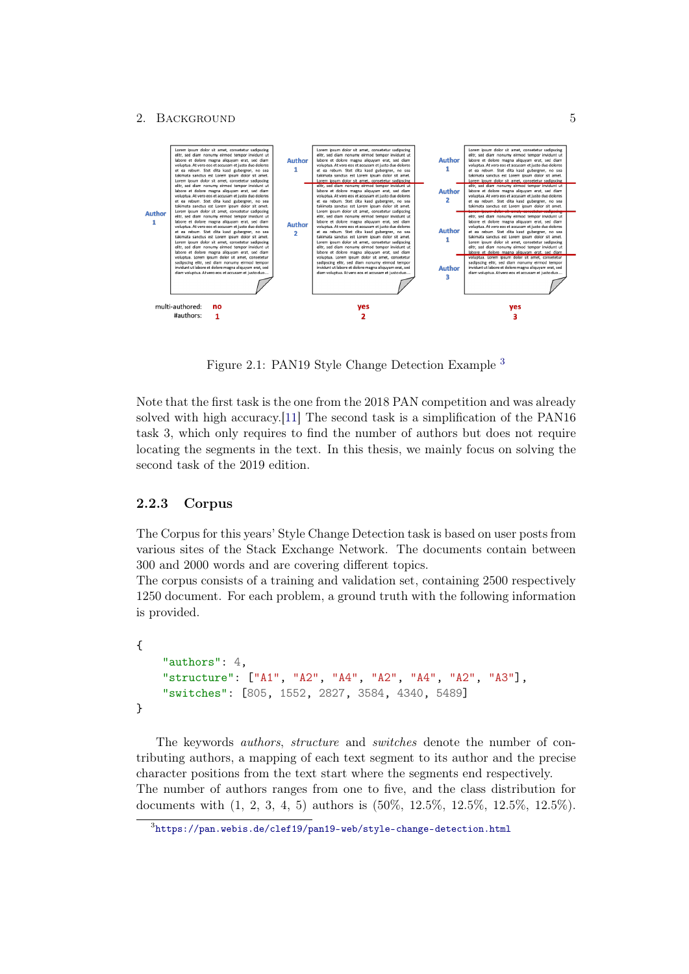#### 2. BACKGROUND 5



Figure 2.1: PAN19 Style Change Detection Example [3](#page-9-1)

Note that the first task is the one from the 2018 PAN competition and was already solved with high accuracy.[\[11\]](#page-27-0) The second task is a simplification of the PAN16 task 3, which only requires to find the number of authors but does not require locating the segments in the text. In this thesis, we mainly focus on solving the second task of the 2019 edition.

### <span id="page-9-0"></span>2.2.3 Corpus

The Corpus for this years' Style Change Detection task is based on user posts from various sites of the Stack Exchange Network. The documents contain between 300 and 2000 words and are covering different topics.

The corpus consists of a training and validation set, containing 2500 respectively 1250 document. For each problem, a ground truth with the following information is provided.

```
{
    "authors": 4,
    "structure": ["A1", "A2", "A4", "A2", "A4", "A2", "A3"],
    "switches": [805, 1552, 2827, 3584, 4340, 5489]
}
```
The keywords *authors*, *structure* and *switches* denote the number of contributing authors, a mapping of each text segment to its author and the precise character positions from the text start where the segments end respectively. The number of authors ranges from one to five, and the class distribution for documents with (1, 2, 3, 4, 5) authors is (50%, 12.5%, 12.5%, 12.5%, 12.5%).

<span id="page-9-1"></span> $^3$ <https://pan.webis.de/clef19/pan19-web/style-change-detection.html>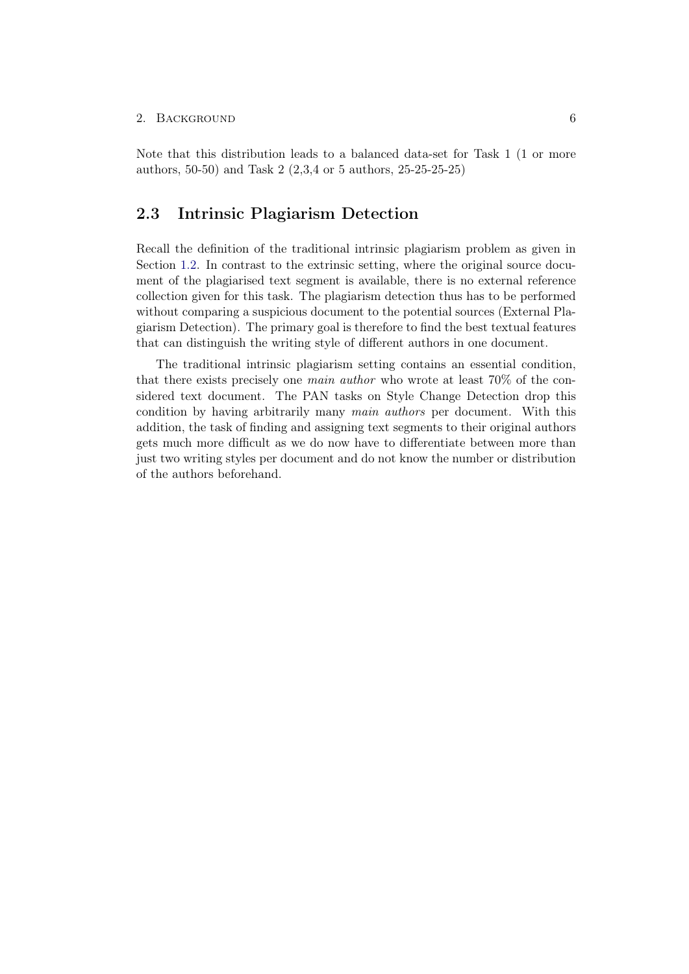#### 2. BACKGROUND 6

Note that this distribution leads to a balanced data-set for Task 1 (1 or more authors, 50-50) and Task 2 (2,3,4 or 5 authors, 25-25-25-25)

### <span id="page-10-0"></span>2.3 Intrinsic Plagiarism Detection

Recall the definition of the traditional intrinsic plagiarism problem as given in Section [1.2.](#page-5-2) In contrast to the extrinsic setting, where the original source document of the plagiarised text segment is available, there is no external reference collection given for this task. The plagiarism detection thus has to be performed without comparing a suspicious document to the potential sources (External Plagiarism Detection). The primary goal is therefore to find the best textual features that can distinguish the writing style of different authors in one document.

The traditional intrinsic plagiarism setting contains an essential condition, that there exists precisely one main author who wrote at least 70% of the considered text document. The PAN tasks on Style Change Detection drop this condition by having arbitrarily many main authors per document. With this addition, the task of finding and assigning text segments to their original authors gets much more difficult as we do now have to differentiate between more than just two writing styles per document and do not know the number or distribution of the authors beforehand.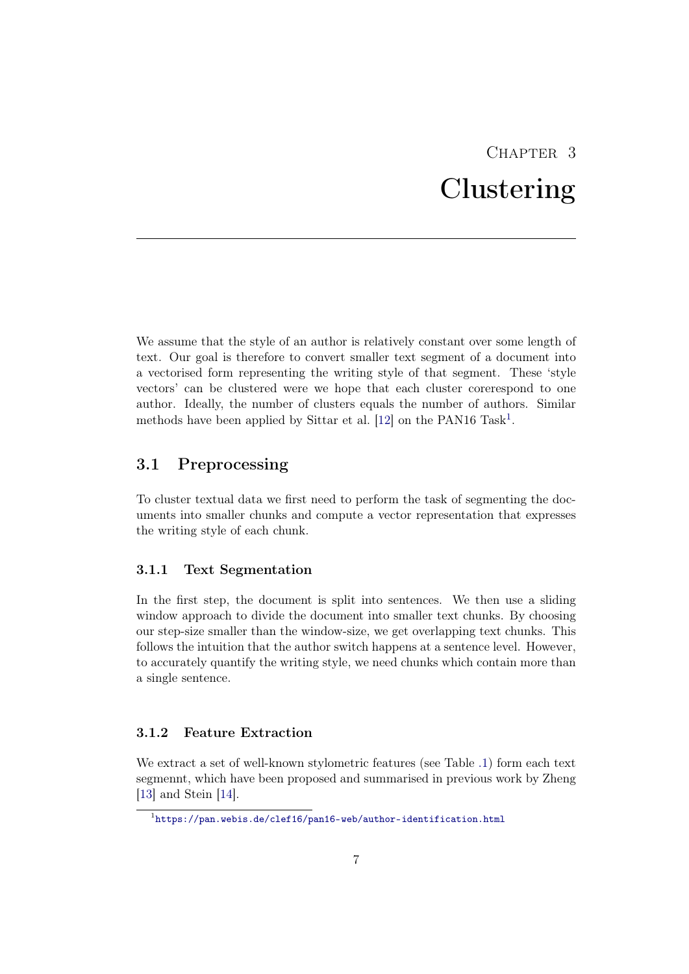## CHAPTER 3 Clustering

<span id="page-11-0"></span>We assume that the style of an author is relatively constant over some length of text. Our goal is therefore to convert smaller text segment of a document into a vectorised form representing the writing style of that segment. These 'style vectors' can be clustered were we hope that each cluster corerespond to one author. Ideally, the number of clusters equals the number of authors. Similar methods have been applied by Sittar et al.  $[12]$  on the PAN[1](#page-11-4)6 Task<sup>1</sup>.

### <span id="page-11-1"></span>3.1 Preprocessing

To cluster textual data we first need to perform the task of segmenting the documents into smaller chunks and compute a vector representation that expresses the writing style of each chunk.

#### <span id="page-11-2"></span>3.1.1 Text Segmentation

In the first step, the document is split into sentences. We then use a sliding window approach to divide the document into smaller text chunks. By choosing our step-size smaller than the window-size, we get overlapping text chunks. This follows the intuition that the author switch happens at a sentence level. However, to accurately quantify the writing style, we need chunks which contain more than a single sentence.

### <span id="page-11-3"></span>3.1.2 Feature Extraction

We extract a set of well-known stylometric features (see Table [.1\)](#page-29-1) form each text segmennt, which have been proposed and summarised in previous work by Zheng [\[13\]](#page-27-2) and Stein [\[14\]](#page-27-3).

<span id="page-11-4"></span> $^{\rm 1}$ <https://pan.webis.de/clef16/pan16-web/author-identification.html>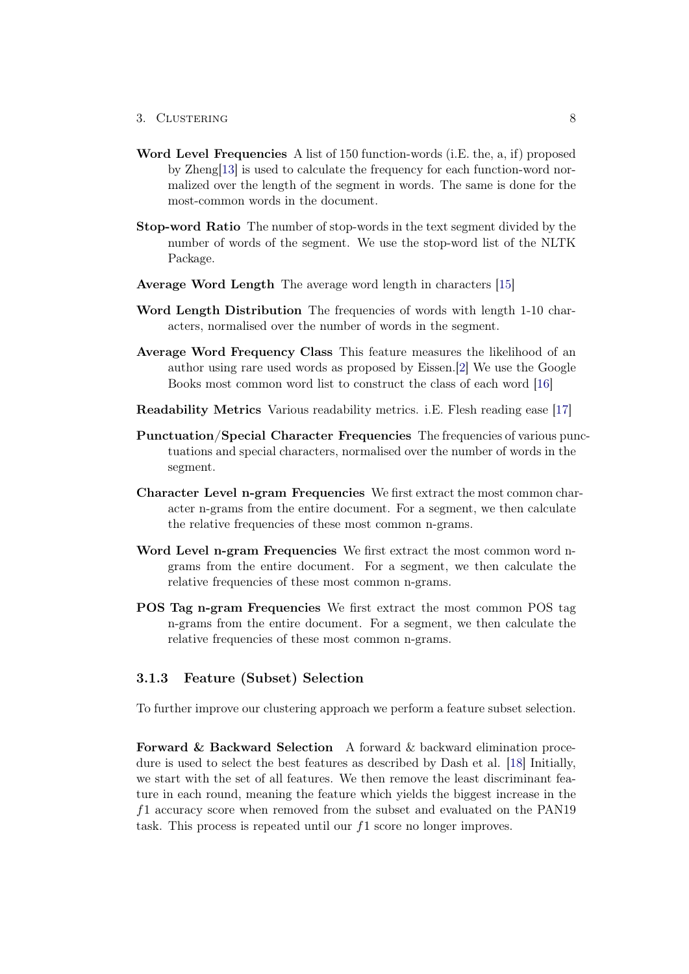#### 3. CLUSTERING 8

- Word Level Frequencies A list of 150 function-words (i.E. the, a, if) proposed by Zheng[\[13\]](#page-27-2) is used to calculate the frequency for each function-word normalized over the length of the segment in words. The same is done for the most-common words in the document.
- Stop-word Ratio The number of stop-words in the text segment divided by the number of words of the segment. We use the stop-word list of the NLTK Package.
- Average Word Length The average word length in characters [\[15\]](#page-27-4)
- Word Length Distribution The frequencies of words with length 1-10 characters, normalised over the number of words in the segment.
- Average Word Frequency Class This feature measures the likelihood of an author using rare used words as proposed by Eissen.[\[2\]](#page-26-2) We use the Google Books most common word list to construct the class of each word [\[16\]](#page-27-5)
- Readability Metrics Various readability metrics. i.E. Flesh reading ease [\[17\]](#page-27-6)
- Punctuation/Special Character Frequencies The frequencies of various punctuations and special characters, normalised over the number of words in the segment.
- Character Level n-gram Frequencies We first extract the most common character n-grams from the entire document. For a segment, we then calculate the relative frequencies of these most common n-grams.
- Word Level n-gram Frequencies We first extract the most common word ngrams from the entire document. For a segment, we then calculate the relative frequencies of these most common n-grams.
- POS Tag n-gram Frequencies We first extract the most common POS tag n-grams from the entire document. For a segment, we then calculate the relative frequencies of these most common n-grams.

#### <span id="page-12-0"></span>3.1.3 Feature (Subset) Selection

To further improve our clustering approach we perform a feature subset selection.

Forward & Backward Selection A forward & backward elimination procedure is used to select the best features as described by Dash et al. [\[18\]](#page-27-7) Initially, we start with the set of all features. We then remove the least discriminant feature in each round, meaning the feature which yields the biggest increase in the f1 accuracy score when removed from the subset and evaluated on the PAN19 task. This process is repeated until our  $f_1$  score no longer improves.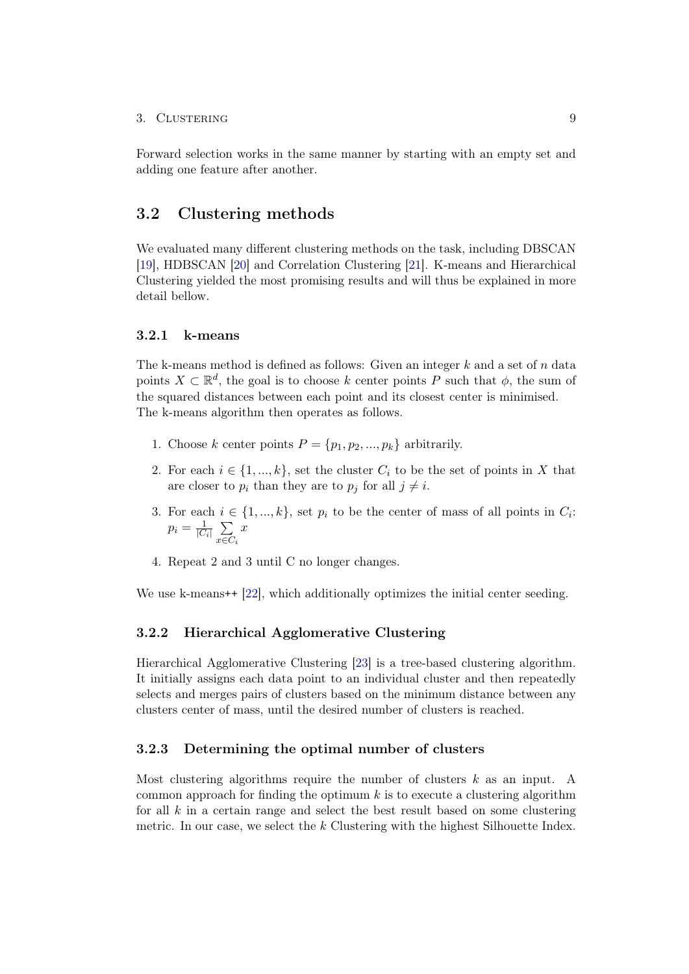#### 3. CLUSTERING 9

Forward selection works in the same manner by starting with an empty set and adding one feature after another.

### <span id="page-13-0"></span>3.2 Clustering methods

We evaluated many different clustering methods on the task, including DBSCAN [\[19\]](#page-27-8), HDBSCAN [\[20\]](#page-27-9) and Correlation Clustering [\[21\]](#page-27-10). K-means and Hierarchical Clustering yielded the most promising results and will thus be explained in more detail bellow.

### <span id="page-13-1"></span>3.2.1 k-means

The k-means method is defined as follows: Given an integer  $k$  and a set of n data points  $X \subset \mathbb{R}^d$ , the goal is to choose k center points P such that  $\phi$ , the sum of the squared distances between each point and its closest center is minimised. The k-means algorithm then operates as follows.

- 1. Choose k center points  $P = \{p_1, p_2, ..., p_k\}$  arbitrarily.
- 2. For each  $i \in \{1, ..., k\}$ , set the cluster  $C_i$  to be the set of points in X that are closer to  $p_i$  than they are to  $p_j$  for all  $j \neq i$ .
- 3. For each  $i \in \{1, ..., k\}$ , set  $p_i$  to be the center of mass of all points in  $C_i$ :  $p_i = \frac{1}{|C|}$  $\frac{1}{|C_i|}$   $\sum_{i \in C_i}$  $x \in C_i$  $\boldsymbol{x}$
- 4. Repeat 2 and 3 until C no longer changes.

We use k-means<sup>++</sup> [\[22\]](#page-27-11), which additionally optimizes the initial center seeding.

### <span id="page-13-2"></span>3.2.2 Hierarchical Agglomerative Clustering

Hierarchical Agglomerative Clustering [\[23\]](#page-28-0) is a tree-based clustering algorithm. It initially assigns each data point to an individual cluster and then repeatedly selects and merges pairs of clusters based on the minimum distance between any clusters center of mass, until the desired number of clusters is reached.

#### <span id="page-13-3"></span>3.2.3 Determining the optimal number of clusters

Most clustering algorithms require the number of clusters  $k$  as an input. A common approach for finding the optimum  $k$  is to execute a clustering algorithm for all k in a certain range and select the best result based on some clustering metric. In our case, we select the k Clustering with the highest Silhouette Index.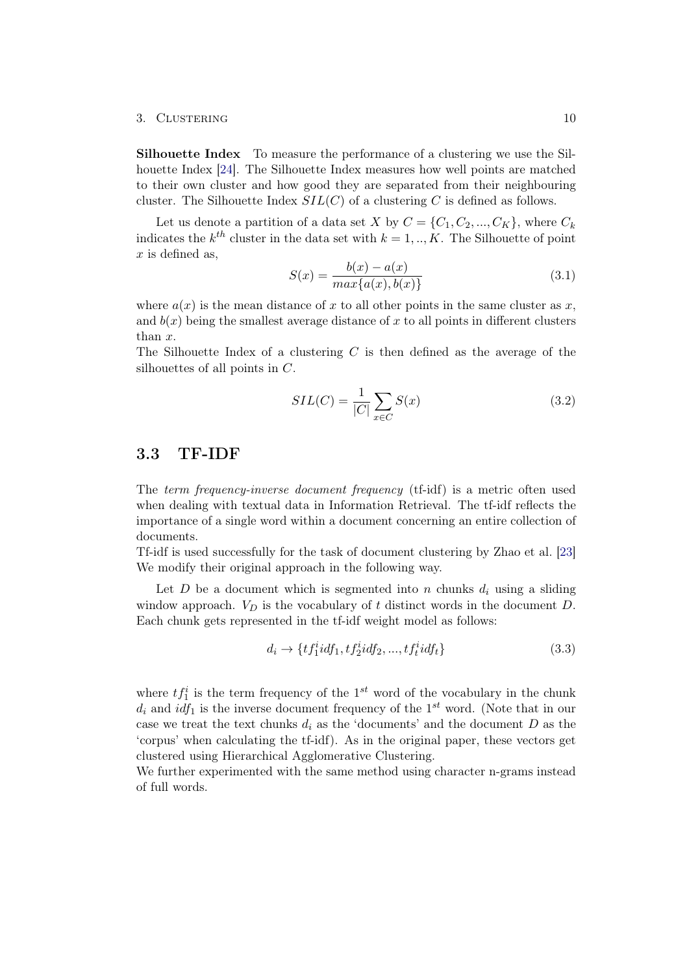#### 3. CLUSTERING 10

Silhouette Index To measure the performance of a clustering we use the Silhouette Index [\[24\]](#page-28-1). The Silhouette Index measures how well points are matched to their own cluster and how good they are separated from their neighbouring cluster. The Silhouette Index  $SL(C)$  of a clustering C is defined as follows.

Let us denote a partition of a data set X by  $C = \{C_1, C_2, ..., C_K\}$ , where  $C_k$ indicates the  $k^{th}$  cluster in the data set with  $k = 1, ..., K$ . The Silhouette of point  $x$  is defined as.

$$
S(x) = \frac{b(x) - a(x)}{\max\{a(x), b(x)\}}
$$
(3.1)

where  $a(x)$  is the mean distance of x to all other points in the same cluster as x, and  $b(x)$  being the smallest average distance of x to all points in different clusters than x.

The Silhouette Index of a clustering  $C$  is then defined as the average of the silhouettes of all points in C.

$$
SIL(C) = \frac{1}{|C|} \sum_{x \in C} S(x) \tag{3.2}
$$

### <span id="page-14-0"></span>3.3 TF-IDF

The term frequency-inverse document frequency (tf-idf) is a metric often used when dealing with textual data in Information Retrieval. The tf-idf reflects the importance of a single word within a document concerning an entire collection of documents.

Tf-idf is used successfully for the task of document clustering by Zhao et al. [\[23\]](#page-28-0) We modify their original approach in the following way.

Let D be a document which is segmented into n chunks  $d_i$  using a sliding window approach.  $V_D$  is the vocabulary of t distinct words in the document  $D$ . Each chunk gets represented in the tf-idf weight model as follows:

$$
d_i \to \{tf_1^i idf_1, tf_2^i idf_2, ..., tf_t^i idf_t\} \tag{3.3}
$$

where  $tf_1^i$  is the term frequency of the 1<sup>st</sup> word of the vocabulary in the chunk  $d_i$  and  $idf_1$  is the inverse document frequency of the 1<sup>st</sup> word. (Note that in our case we treat the text chunks  $d_i$  as the 'documents' and the document  $D$  as the 'corpus' when calculating the tf-idf). As in the original paper, these vectors get clustered using Hierarchical Agglomerative Clustering.

We further experimented with the same method using character n-grams instead of full words.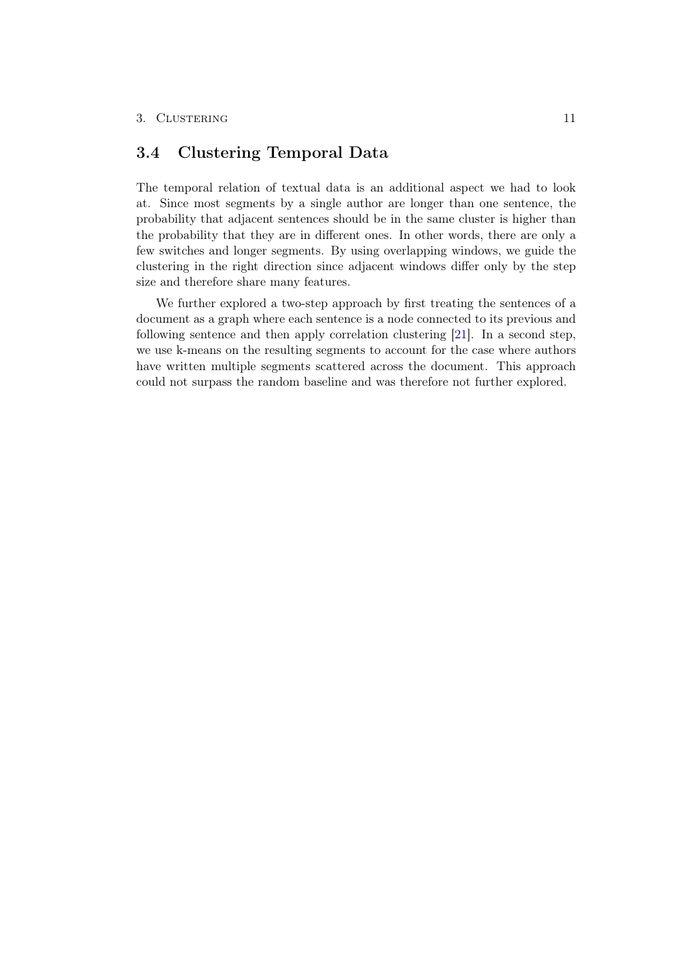### <span id="page-15-0"></span>3.4 Clustering Temporal Data

The temporal relation of textual data is an additional aspect we had to look at. Since most segments by a single author are longer than one sentence, the probability that adjacent sentences should be in the same cluster is higher than the probability that they are in different ones. In other words, there are only a few switches and longer segments. By using overlapping windows, we guide the clustering in the right direction since adjacent windows differ only by the step size and therefore share many features.

We further explored a two-step approach by first treating the sentences of a document as a graph where each sentence is a node connected to its previous and following sentence and then apply correlation clustering [\[21\]](#page-27-10). In a second step, we use k-means on the resulting segments to account for the case where authors have written multiple segments scattered across the document. This approach could not surpass the random baseline and was therefore not further explored.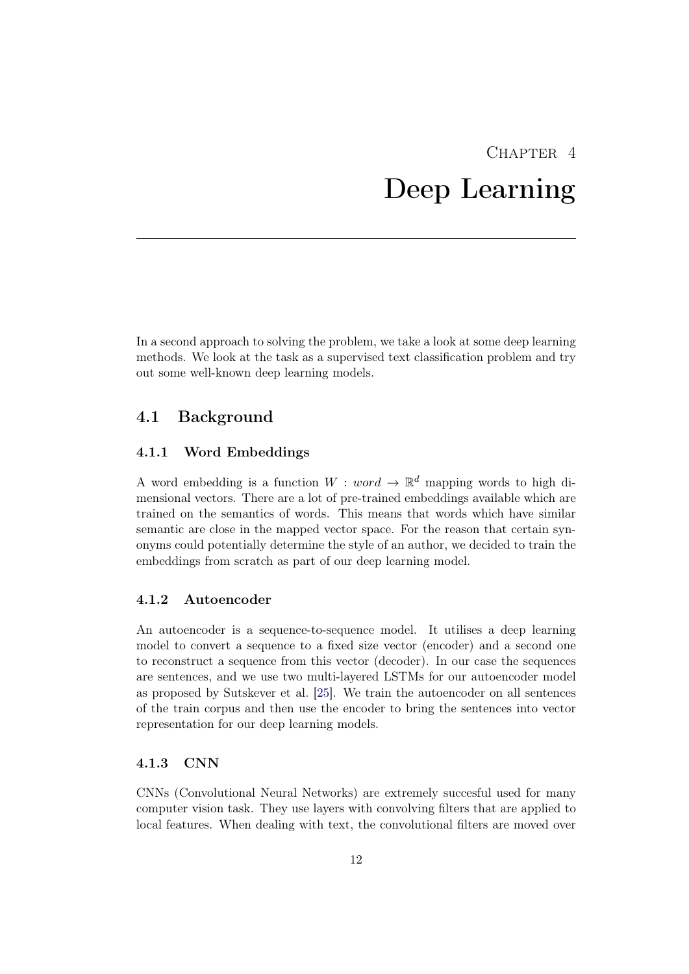## $CHAPTER$  4 Deep Learning

<span id="page-16-0"></span>In a second approach to solving the problem, we take a look at some deep learning methods. We look at the task as a supervised text classification problem and try out some well-known deep learning models.

## <span id="page-16-1"></span>4.1 Background

### <span id="page-16-2"></span>4.1.1 Word Embeddings

A word embedding is a function  $W : word \to \mathbb{R}^d$  mapping words to high dimensional vectors. There are a lot of pre-trained embeddings available which are trained on the semantics of words. This means that words which have similar semantic are close in the mapped vector space. For the reason that certain synonyms could potentially determine the style of an author, we decided to train the embeddings from scratch as part of our deep learning model.

### <span id="page-16-3"></span>4.1.2 Autoencoder

An autoencoder is a sequence-to-sequence model. It utilises a deep learning model to convert a sequence to a fixed size vector (encoder) and a second one to reconstruct a sequence from this vector (decoder). In our case the sequences are sentences, and we use two multi-layered LSTMs for our autoencoder model as proposed by Sutskever et al. [\[25\]](#page-28-2). We train the autoencoder on all sentences of the train corpus and then use the encoder to bring the sentences into vector representation for our deep learning models.

#### <span id="page-16-4"></span>4.1.3 CNN

CNNs (Convolutional Neural Networks) are extremely succesful used for many computer vision task. They use layers with convolving filters that are applied to local features. When dealing with text, the convolutional filters are moved over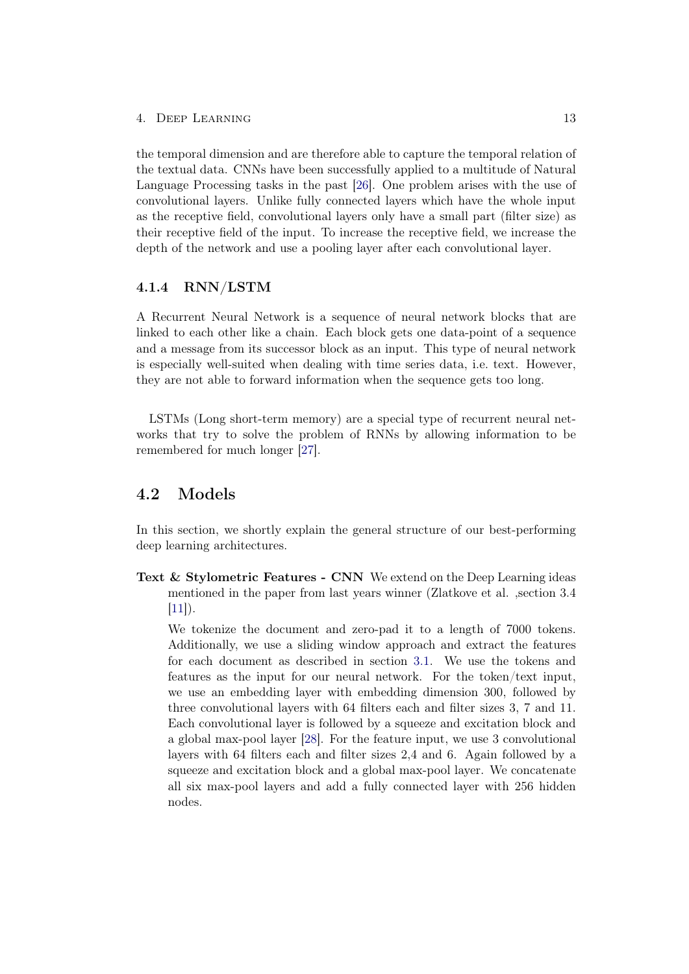the temporal dimension and are therefore able to capture the temporal relation of the textual data. CNNs have been successfully applied to a multitude of Natural Language Processing tasks in the past [\[26\]](#page-28-3). One problem arises with the use of convolutional layers. Unlike fully connected layers which have the whole input as the receptive field, convolutional layers only have a small part (filter size) as their receptive field of the input. To increase the receptive field, we increase the depth of the network and use a pooling layer after each convolutional layer.

### <span id="page-17-0"></span>4.1.4 RNN/LSTM

A Recurrent Neural Network is a sequence of neural network blocks that are linked to each other like a chain. Each block gets one data-point of a sequence and a message from its successor block as an input. This type of neural network is especially well-suited when dealing with time series data, i.e. text. However, they are not able to forward information when the sequence gets too long.

LSTMs (Long short-term memory) are a special type of recurrent neural networks that try to solve the problem of RNNs by allowing information to be remembered for much longer [\[27\]](#page-28-4).

### <span id="page-17-1"></span>4.2 Models

In this section, we shortly explain the general structure of our best-performing deep learning architectures.

Text & Stylometric Features - CNN We extend on the Deep Learning ideas mentioned in the paper from last years winner (Zlatkove et al. ,section 3.4  $[11]$ ).

We tokenize the document and zero-pad it to a length of 7000 tokens. Additionally, we use a sliding window approach and extract the features for each document as described in section [3.1.](#page-11-1) We use the tokens and features as the input for our neural network. For the token/text input, we use an embedding layer with embedding dimension 300, followed by three convolutional layers with 64 filters each and filter sizes 3, 7 and 11. Each convolutional layer is followed by a squeeze and excitation block and a global max-pool layer [\[28\]](#page-28-5). For the feature input, we use 3 convolutional layers with 64 filters each and filter sizes 2,4 and 6. Again followed by a squeeze and excitation block and a global max-pool layer. We concatenate all six max-pool layers and add a fully connected layer with 256 hidden nodes.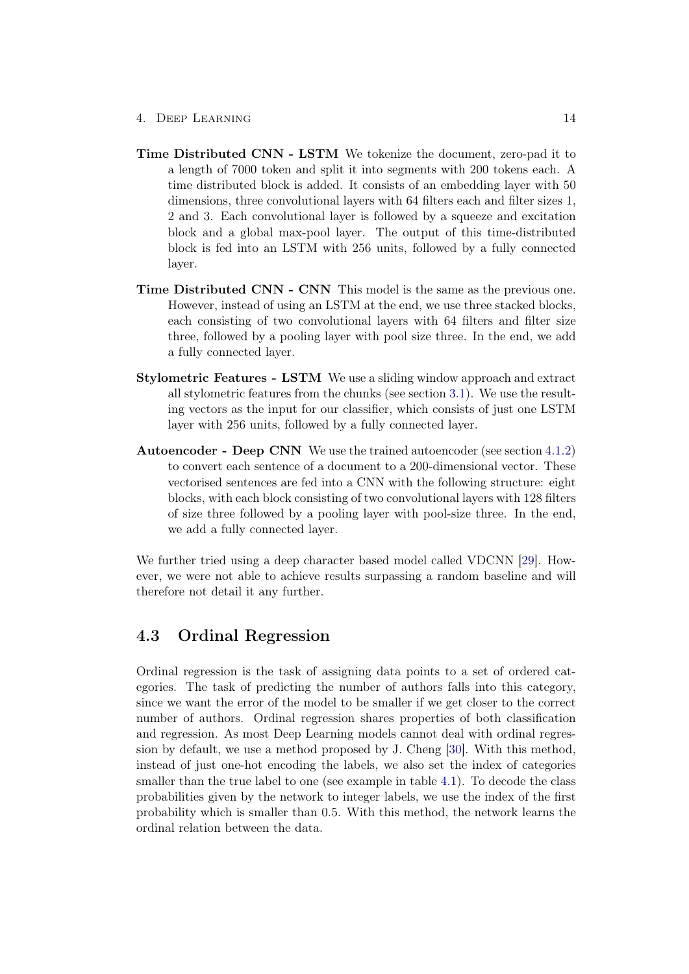- 4. Deep Learning 14
- Time Distributed CNN LSTM We tokenize the document, zero-pad it to a length of 7000 token and split it into segments with 200 tokens each. A time distributed block is added. It consists of an embedding layer with 50 dimensions, three convolutional layers with 64 filters each and filter sizes 1, 2 and 3. Each convolutional layer is followed by a squeeze and excitation block and a global max-pool layer. The output of this time-distributed block is fed into an LSTM with 256 units, followed by a fully connected layer.
- Time Distributed CNN CNN This model is the same as the previous one. However, instead of using an LSTM at the end, we use three stacked blocks, each consisting of two convolutional layers with 64 filters and filter size three, followed by a pooling layer with pool size three. In the end, we add a fully connected layer.
- Stylometric Features LSTM We use a sliding window approach and extract all stylometric features from the chunks (see section [3.1\)](#page-11-1). We use the resulting vectors as the input for our classifier, which consists of just one LSTM layer with 256 units, followed by a fully connected layer.
- Autoencoder Deep CNN We use the trained autoencoder (see section [4.1.2\)](#page-16-3) to convert each sentence of a document to a 200-dimensional vector. These vectorised sentences are fed into a CNN with the following structure: eight blocks, with each block consisting of two convolutional layers with 128 filters of size three followed by a pooling layer with pool-size three. In the end, we add a fully connected layer.

We further tried using a deep character based model called VDCNN [\[29\]](#page-28-6). However, we were not able to achieve results surpassing a random baseline and will therefore not detail it any further.

## <span id="page-18-0"></span>4.3 Ordinal Regression

Ordinal regression is the task of assigning data points to a set of ordered categories. The task of predicting the number of authors falls into this category, since we want the error of the model to be smaller if we get closer to the correct number of authors. Ordinal regression shares properties of both classification and regression. As most Deep Learning models cannot deal with ordinal regression by default, we use a method proposed by J. Cheng [\[30\]](#page-28-7). With this method, instead of just one-hot encoding the labels, we also set the index of categories smaller than the true label to one (see example in table [4.1\)](#page-19-1). To decode the class probabilities given by the network to integer labels, we use the index of the first probability which is smaller than 0.5. With this method, the network learns the ordinal relation between the data.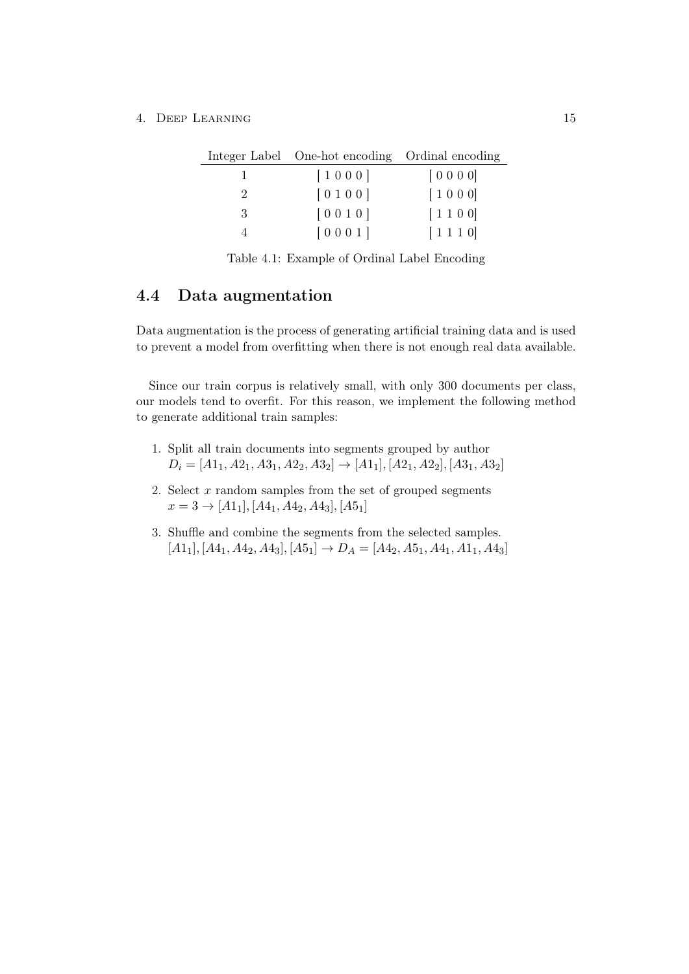4. DEEP LEARNING 15

|   | Integer Label One-hot encoding Ordinal encoding |        |
|---|-------------------------------------------------|--------|
|   | [1000]                                          | [0000] |
| 2 | [0100]                                          | [1000] |
| 3 | [0010]                                          | [1100] |
|   | [0001]                                          | [1110] |

<span id="page-19-1"></span>Table 4.1: Example of Ordinal Label Encoding

### <span id="page-19-0"></span>4.4 Data augmentation

Data augmentation is the process of generating artificial training data and is used to prevent a model from overfitting when there is not enough real data available.

Since our train corpus is relatively small, with only 300 documents per class, our models tend to overfit. For this reason, we implement the following method to generate additional train samples:

- 1. Split all train documents into segments grouped by author  $D_i = [A1_1, A2_1, A3_1, A2_2, A3_2] \rightarrow [A1_1], [A2_1, A2_2], [A3_1, A3_2]$
- 2. Select  $x$  random samples from the set of grouped segments  $x = 3 \rightarrow [A1_1], [A4_1, A4_2, A4_3], [A5_1]$
- 3. Shuffle and combine the segments from the selected samples.  $[A1_1], [A4_1, A4_2, A4_3], [A5_1] \rightarrow D_A = [A4_2, A5_1, A4_1, A1_1, A4_3]$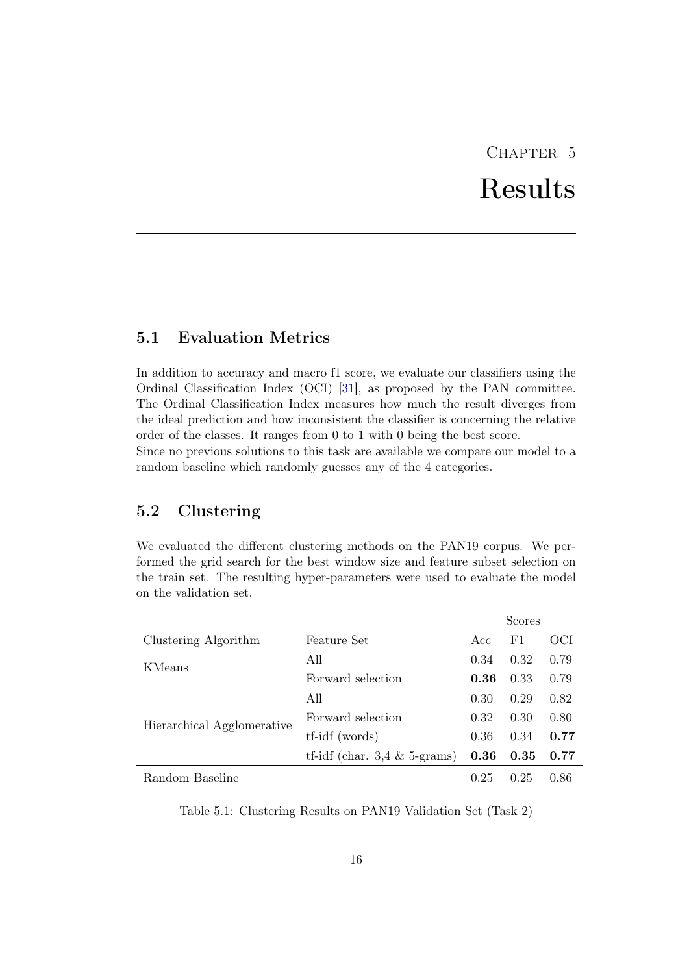# CHAPTER<sub>5</sub> Results

## <span id="page-20-1"></span><span id="page-20-0"></span>5.1 Evaluation Metrics

In addition to accuracy and macro f1 score, we evaluate our classifiers using the Ordinal Classification Index (OCI) [\[31\]](#page-28-8), as proposed by the PAN committee. The Ordinal Classification Index measures how much the result diverges from the ideal prediction and how inconsistent the classifier is concerning the relative order of the classes. It ranges from 0 to 1 with 0 being the best score.

Since no previous solutions to this task are available we compare our model to a random baseline which randomly guesses any of the 4 categories.

## <span id="page-20-2"></span>5.2 Clustering

We evaluated the different clustering methods on the PAN19 corpus. We performed the grid search for the best window size and feature subset selection on the train set. The resulting hyper-parameters were used to evaluate the model on the validation set.

|                            |                                         |      | Scores         |      |
|----------------------------|-----------------------------------------|------|----------------|------|
| Clustering Algorithm       | <b>Feature Set</b>                      | Acc  | F <sub>1</sub> | OCI  |
| KMeans                     | All                                     | 0.34 | 0.32           | 0.79 |
|                            | Forward selection                       | 0.36 | 0.33           | 0.79 |
|                            | All                                     | 0.30 | 0.29           | 0.82 |
| Hierarchical Agglomerative | Forward selection                       | 0.32 | 0.30           | 0.80 |
|                            | tf-idf (words)                          | 0.36 | 0.34           | 0.77 |
|                            | tf-idf (char. $3.4 \& 5\text{-grams}$ ) | 0.36 | 0.35           | 0.77 |
| Random Baseline            |                                         | 0.25 | 0.25           | 0.86 |

Table 5.1: Clustering Results on PAN19 Validation Set (Task 2)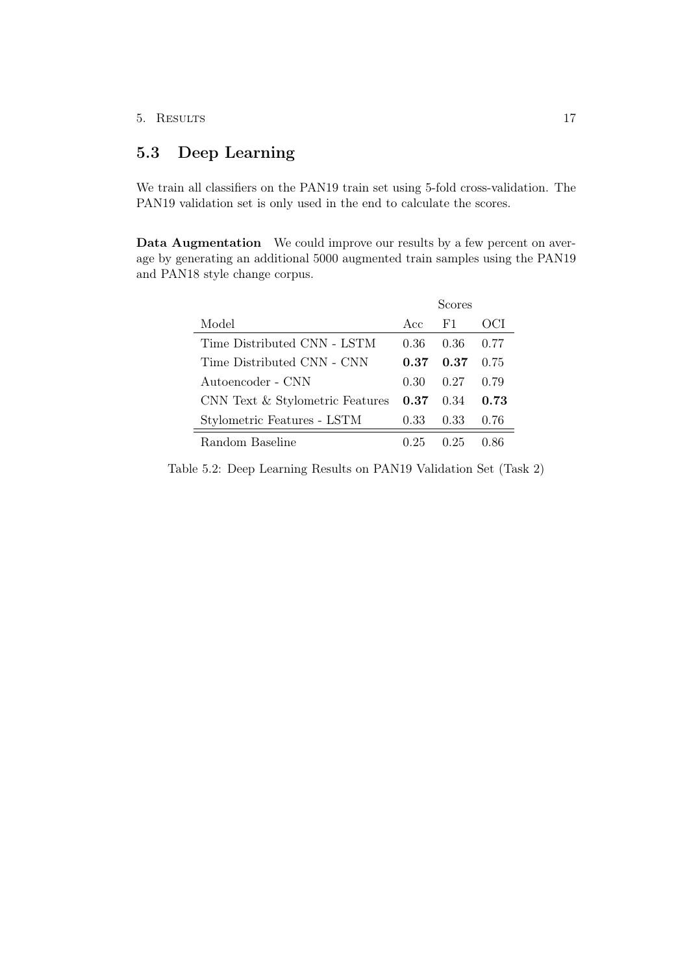## <span id="page-21-0"></span>5.3 Deep Learning

We train all classifiers on the PAN19 train set using 5-fold cross-validation. The PAN19 validation set is only used in the end to calculate the scores.

Data Augmentation We could improve our results by a few percent on average by generating an additional 5000 augmented train samples using the PAN19 and PAN18 style change corpus.

|                                 |                   | Scores |      |
|---------------------------------|-------------------|--------|------|
| Model                           | Acc               | F1.    | OCL  |
| Time Distributed CNN - LSTM     | 0.36              | 0.36   | 0.77 |
| Time Distributed CNN - CNN      | 0.37              | 0.37   | 0.75 |
| Autoencoder - CNN               | 0.30              | 0.27   | 0.79 |
| CNN Text & Stylometric Features | $0.37 \quad 0.34$ |        | 0.73 |
| Stylometric Features - LSTM     | 0.33              | 0.33   | 0.76 |
| Random Baseline                 | () 25             | 0.25   |      |

Table 5.2: Deep Learning Results on PAN19 Validation Set (Task 2)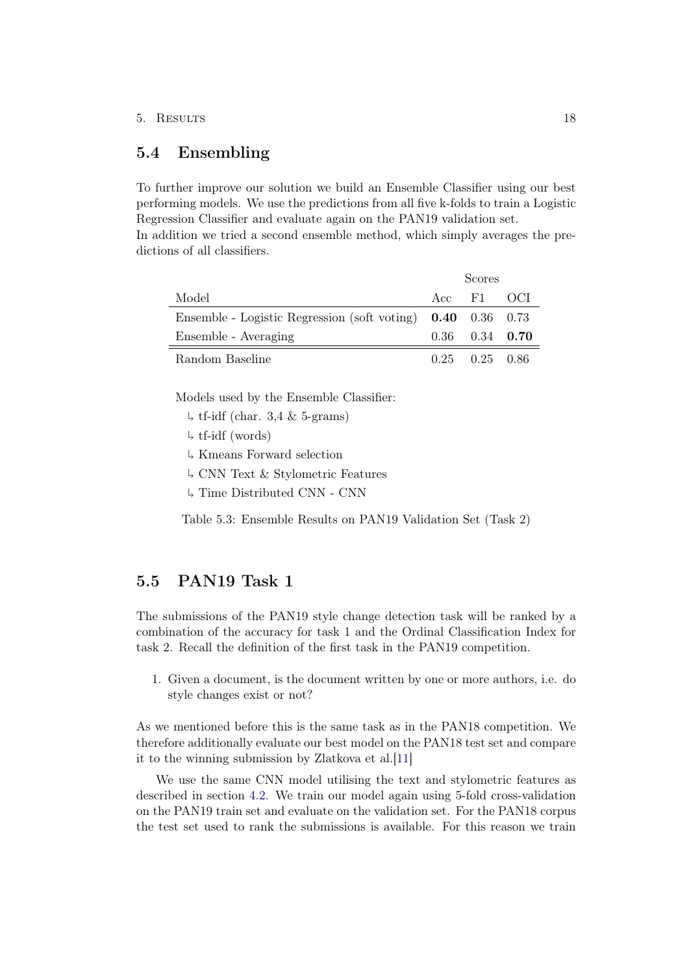#### 5. Results 18

## <span id="page-22-0"></span>5.4 Ensembling

dictions of all classifiers.

To further improve our solution we build an Ensemble Classifier using our best performing models. We use the predictions from all five k-folds to train a Logistic Regression Classifier and evaluate again on the PAN19 validation set. In addition we tried a second ensemble method, which simply averages the pre-

|                                                               | Scores               |  |
|---------------------------------------------------------------|----------------------|--|
| Model                                                         | Acc F1 OCI           |  |
| Ensemble - Logistic Regression (soft voting) $0.40$ 0.36 0.73 |                      |  |
| Ensemble - Averaging                                          | $0.36$ $0.34$ $0.70$ |  |
| Random Baseline                                               | $0.25$ $0.25$ $0.86$ |  |

Models used by the Ensemble Classifier:

- $\downarrow$  tf-idf (char. 3,4 & 5-grams)
- tf-idf (words)
- Kmeans Forward selection
- CNN Text & Stylometric Features
- Time Distributed CNN CNN

Table 5.3: Ensemble Results on PAN19 Validation Set (Task 2)

## <span id="page-22-1"></span>5.5 PAN19 Task 1

The submissions of the PAN19 style change detection task will be ranked by a combination of the accuracy for task 1 and the Ordinal Classification Index for task 2. Recall the definition of the first task in the PAN19 competition.

1. Given a document, is the document written by one or more authors, i.e. do style changes exist or not?

As we mentioned before this is the same task as in the PAN18 competition. We therefore additionally evaluate our best model on the PAN18 test set and compare it to the winning submission by Zlatkova et al.[\[11\]](#page-27-0)

We use the same CNN model utilising the text and stylometric features as described in section [4.2.](#page-17-1) We train our model again using 5-fold cross-validation on the PAN19 train set and evaluate on the validation set. For the PAN18 corpus the test set used to rank the submissions is available. For this reason we train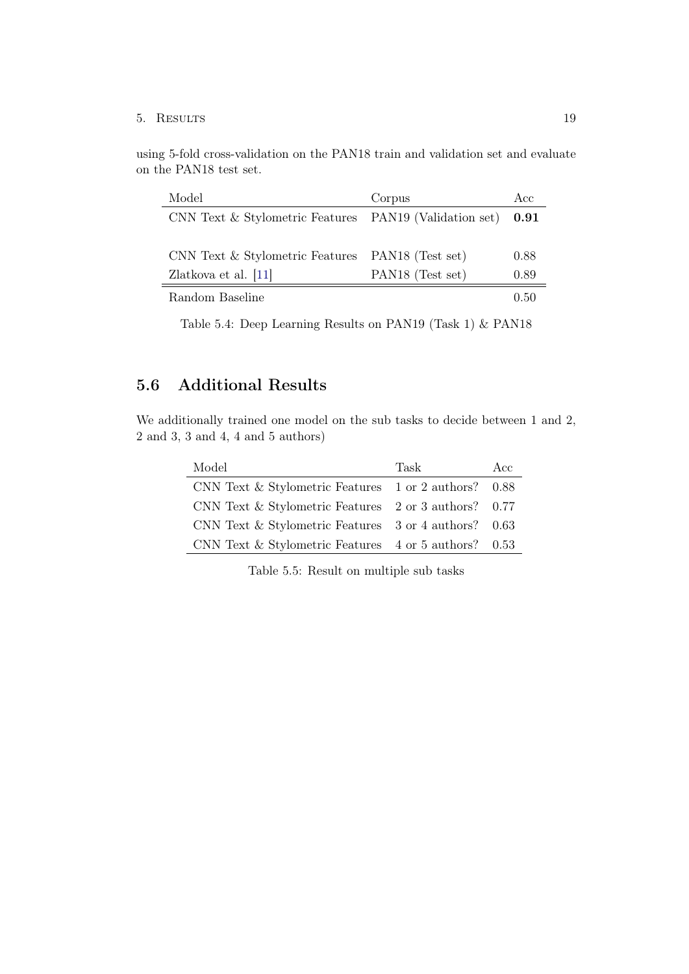### 5. Results 19

using 5-fold cross-validation on the PAN18 train and validation set and evaluate on the PAN18 test set.

| Model                                                  | Corpus                       | Acc  |
|--------------------------------------------------------|------------------------------|------|
| CNN Text & Stylometric Features PAN19 (Validation set) |                              | 0.91 |
|                                                        |                              |      |
| CNN Text & Stylometric Features                        | PAN <sub>18</sub> (Test set) | 0.88 |
| Zlatkova et al. $[11]$                                 | PAN18 (Test set)             | 0.89 |
| Random Baseline                                        |                              | በ 50 |

Table 5.4: Deep Learning Results on PAN19 (Task 1) & PAN18

## <span id="page-23-0"></span>5.6 Additional Results

We additionally trained one model on the sub tasks to decide between 1 and 2, 2 and 3, 3 and 4, 4 and 5 authors)

| Model                                                  | 'Task | Acc  |
|--------------------------------------------------------|-------|------|
| CNN Text $&$ Stylometric Features 1 or 2 authors?      |       | 0.88 |
| CNN Text $&$ Stylometric Features 2 or 3 authors? 0.77 |       |      |
| CNN Text $&$ Stylometric Features 3 or 4 authors?      |       | 0.63 |
| CNN Text $&$ Stylometric Features 4 or 5 authors? 0.53 |       |      |

Table 5.5: Result on multiple sub tasks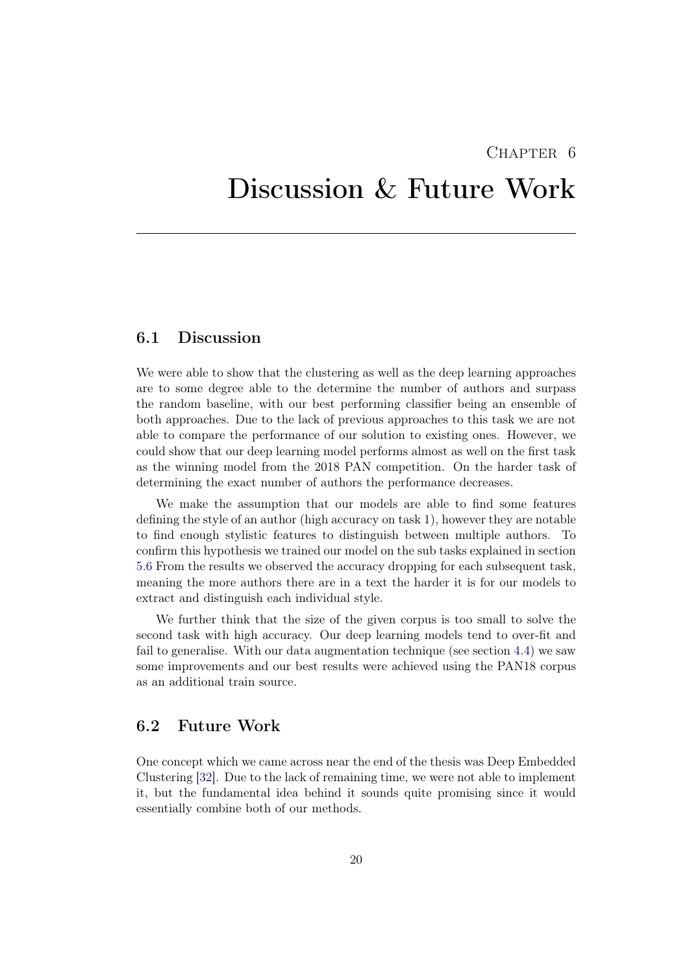### $CHAPTER$  6

## <span id="page-24-0"></span>Discussion & Future Work

## <span id="page-24-1"></span>6.1 Discussion

We were able to show that the clustering as well as the deep learning approaches are to some degree able to the determine the number of authors and surpass the random baseline, with our best performing classifier being an ensemble of both approaches. Due to the lack of previous approaches to this task we are not able to compare the performance of our solution to existing ones. However, we could show that our deep learning model performs almost as well on the first task as the winning model from the 2018 PAN competition. On the harder task of determining the exact number of authors the performance decreases.

We make the assumption that our models are able to find some features defining the style of an author (high accuracy on task 1), however they are notable to find enough stylistic features to distinguish between multiple authors. To confirm this hypothesis we trained our model on the sub tasks explained in section [5.6](#page-23-0) From the results we observed the accuracy dropping for each subsequent task, meaning the more authors there are in a text the harder it is for our models to extract and distinguish each individual style.

We further think that the size of the given corpus is too small to solve the second task with high accuracy. Our deep learning models tend to over-fit and fail to generalise. With our data augmentation technique (see section [4.4\)](#page-19-0) we saw some improvements and our best results were achieved using the PAN18 corpus as an additional train source.

### <span id="page-24-2"></span>6.2 Future Work

One concept which we came across near the end of the thesis was Deep Embedded Clustering [\[32\]](#page-28-9). Due to the lack of remaining time, we were not able to implement it, but the fundamental idea behind it sounds quite promising since it would essentially combine both of our methods.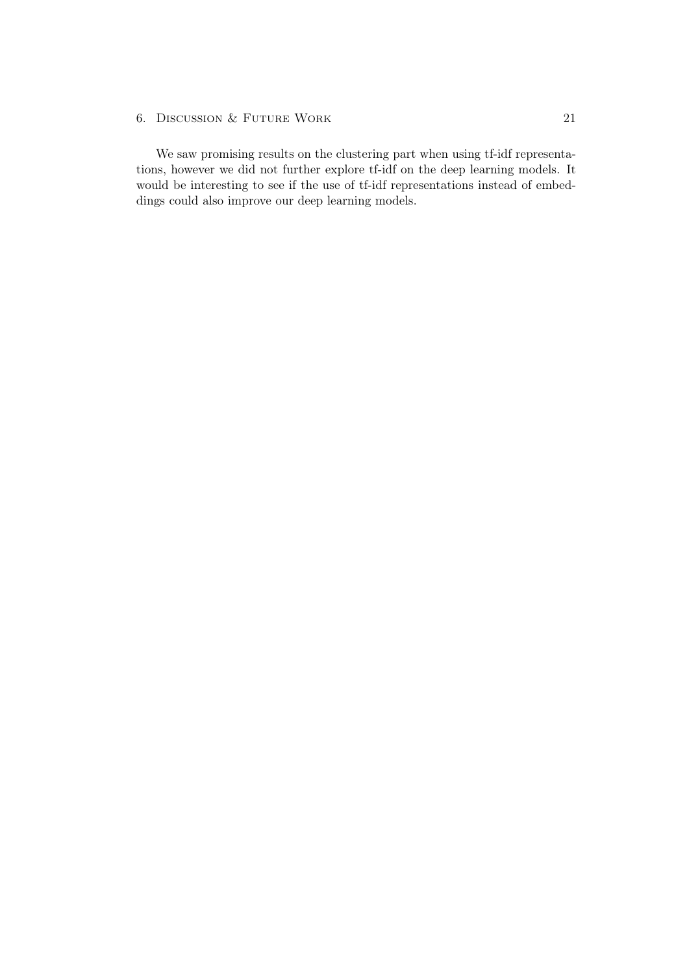### 6. DISCUSSION & FUTURE WORK 21

We saw promising results on the clustering part when using tf-idf representations, however we did not further explore tf-idf on the deep learning models. It would be interesting to see if the use of tf-idf representations instead of embeddings could also improve our deep learning models.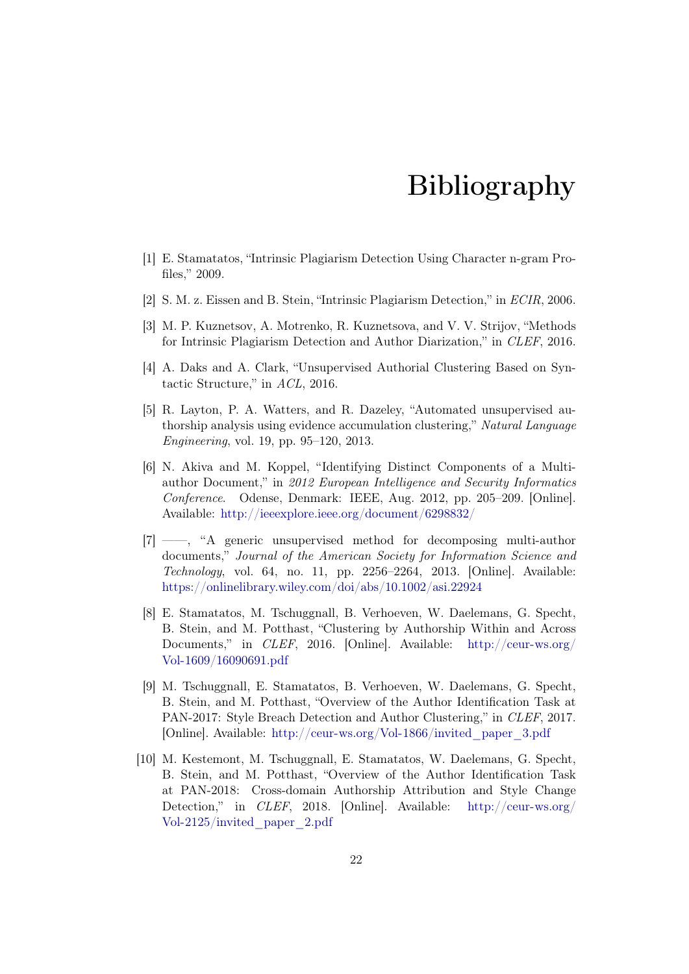## Bibliography

- <span id="page-26-1"></span><span id="page-26-0"></span>[1] E. Stamatatos, "Intrinsic Plagiarism Detection Using Character n-gram Profiles," 2009.
- <span id="page-26-2"></span>[2] S. M. z. Eissen and B. Stein, "Intrinsic Plagiarism Detection," in ECIR, 2006.
- <span id="page-26-3"></span>[3] M. P. Kuznetsov, A. Motrenko, R. Kuznetsova, and V. V. Strijov, "Methods for Intrinsic Plagiarism Detection and Author Diarization," in CLEF, 2016.
- <span id="page-26-4"></span>[4] A. Daks and A. Clark, "Unsupervised Authorial Clustering Based on Syntactic Structure," in ACL, 2016.
- <span id="page-26-5"></span>[5] R. Layton, P. A. Watters, and R. Dazeley, "Automated unsupervised authorship analysis using evidence accumulation clustering," Natural Language Engineering, vol. 19, pp. 95–120, 2013.
- <span id="page-26-6"></span>[6] N. Akiva and M. Koppel, "Identifying Distinct Components of a Multiauthor Document," in 2012 European Intelligence and Security Informatics Conference. Odense, Denmark: IEEE, Aug. 2012, pp. 205–209. [Online]. Available: <http://ieeexplore.ieee.org/document/6298832/>
- <span id="page-26-7"></span>[7] ——, "A generic unsupervised method for decomposing multi-author documents," Journal of the American Society for Information Science and Technology, vol. 64, no. 11, pp. 2256–2264, 2013. [Online]. Available: <https://onlinelibrary.wiley.com/doi/abs/10.1002/asi.22924>
- <span id="page-26-8"></span>[8] E. Stamatatos, M. Tschuggnall, B. Verhoeven, W. Daelemans, G. Specht, B. Stein, and M. Potthast, "Clustering by Authorship Within and Across Documents," in CLEF, 2016. [Online]. Available: [http://ceur-ws.org/](http://ceur-ws.org/Vol-1609/16090691.pdf) [Vol-1609/16090691.pdf](http://ceur-ws.org/Vol-1609/16090691.pdf)
- <span id="page-26-9"></span>[9] M. Tschuggnall, E. Stamatatos, B. Verhoeven, W. Daelemans, G. Specht, B. Stein, and M. Potthast, "Overview of the Author Identification Task at PAN-2017: Style Breach Detection and Author Clustering," in CLEF, 2017. [Online]. Available: [http://ceur-ws.org/Vol-1866/invited\\_paper\\_3.pdf](http://ceur-ws.org/Vol-1866/invited_paper_3.pdf)
- <span id="page-26-10"></span>[10] M. Kestemont, M. Tschuggnall, E. Stamatatos, W. Daelemans, G. Specht, B. Stein, and M. Potthast, "Overview of the Author Identification Task at PAN-2018: Cross-domain Authorship Attribution and Style Change Detection," in CLEF, 2018. [Online]. Available: [http://ceur-ws.org/](http://ceur-ws.org/Vol-2125/invited_paper_2.pdf) [Vol-2125/invited\\_paper\\_2.pdf](http://ceur-ws.org/Vol-2125/invited_paper_2.pdf)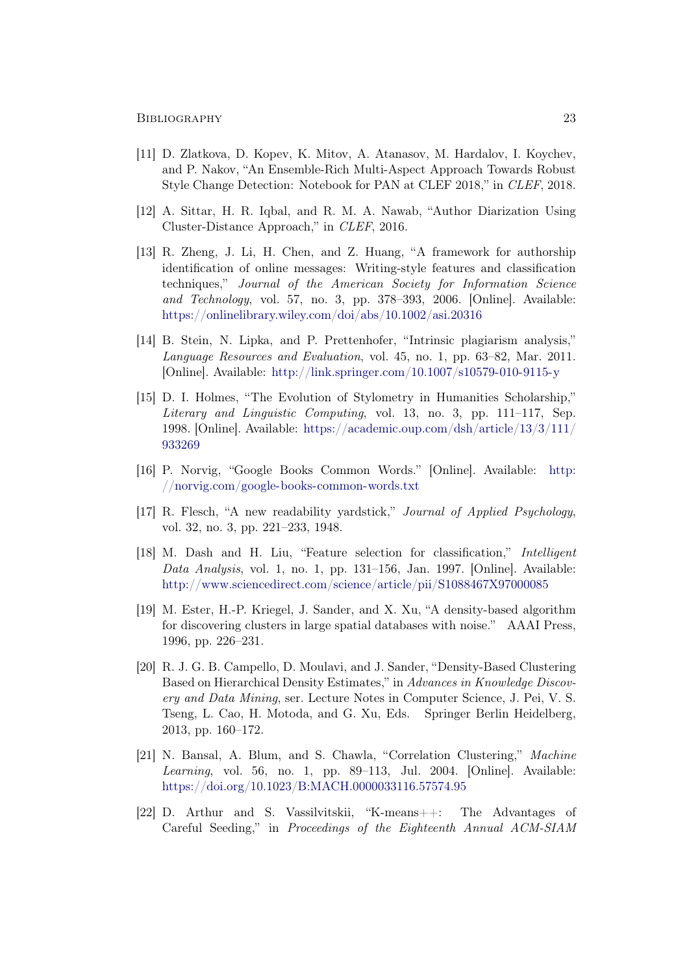- <span id="page-27-0"></span>[11] D. Zlatkova, D. Kopev, K. Mitov, A. Atanasov, M. Hardalov, I. Koychev, and P. Nakov, "An Ensemble-Rich Multi-Aspect Approach Towards Robust Style Change Detection: Notebook for PAN at CLEF 2018," in CLEF, 2018.
- <span id="page-27-1"></span>[12] A. Sittar, H. R. Iqbal, and R. M. A. Nawab, "Author Diarization Using Cluster-Distance Approach," in CLEF, 2016.
- <span id="page-27-2"></span>[13] R. Zheng, J. Li, H. Chen, and Z. Huang, "A framework for authorship identification of online messages: Writing-style features and classification techniques," Journal of the American Society for Information Science and Technology, vol. 57, no. 3, pp. 378–393, 2006. [Online]. Available: <https://onlinelibrary.wiley.com/doi/abs/10.1002/asi.20316>
- <span id="page-27-3"></span>[14] B. Stein, N. Lipka, and P. Prettenhofer, "Intrinsic plagiarism analysis," Language Resources and Evaluation, vol. 45, no. 1, pp. 63–82, Mar. 2011. [Online]. Available: <http://link.springer.com/10.1007/s10579-010-9115-y>
- <span id="page-27-4"></span>[15] D. I. Holmes, "The Evolution of Stylometry in Humanities Scholarship," Literary and Linguistic Computing, vol. 13, no. 3, pp. 111–117, Sep. 1998. [Online]. Available: [https://academic.oup.com/dsh/article/13/3/111/](https://academic.oup.com/dsh/article/13/3/111/933269) [933269](https://academic.oup.com/dsh/article/13/3/111/933269)
- <span id="page-27-5"></span>[16] P. Norvig, "Google Books Common Words." [Online]. Available: [http:](http://norvig.com/google-books-common-words.txt) [//norvig.com/google-books-common-words.txt](http://norvig.com/google-books-common-words.txt)
- <span id="page-27-6"></span>[17] R. Flesch, "A new readability yardstick," Journal of Applied Psychology, vol. 32, no. 3, pp. 221–233, 1948.
- <span id="page-27-7"></span>[18] M. Dash and H. Liu, "Feature selection for classification," Intelligent Data Analysis, vol. 1, no. 1, pp. 131–156, Jan. 1997. [Online]. Available: <http://www.sciencedirect.com/science/article/pii/S1088467X97000085>
- <span id="page-27-8"></span>[19] M. Ester, H.-P. Kriegel, J. Sander, and X. Xu, "A density-based algorithm for discovering clusters in large spatial databases with noise." AAAI Press, 1996, pp. 226–231.
- <span id="page-27-9"></span>[20] R. J. G. B. Campello, D. Moulavi, and J. Sander, "Density-Based Clustering Based on Hierarchical Density Estimates," in Advances in Knowledge Discovery and Data Mining, ser. Lecture Notes in Computer Science, J. Pei, V. S. Tseng, L. Cao, H. Motoda, and G. Xu, Eds. Springer Berlin Heidelberg, 2013, pp. 160–172.
- <span id="page-27-10"></span>[21] N. Bansal, A. Blum, and S. Chawla, "Correlation Clustering," Machine Learning, vol. 56, no. 1, pp. 89–113, Jul. 2004. [Online]. Available: <https://doi.org/10.1023/B:MACH.0000033116.57574.95>
- <span id="page-27-11"></span>[22] D. Arthur and S. Vassilvitskii, "K-means++: The Advantages of Careful Seeding," in Proceedings of the Eighteenth Annual ACM-SIAM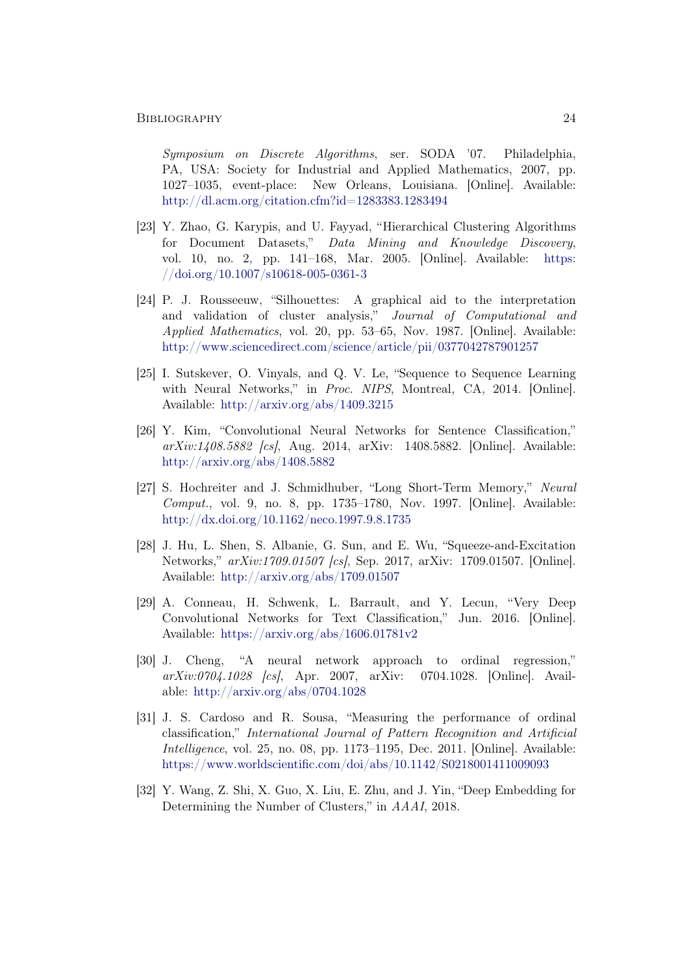Symposium on Discrete Algorithms, ser. SODA '07. Philadelphia, PA, USA: Society for Industrial and Applied Mathematics, 2007, pp. 1027–1035, event-place: New Orleans, Louisiana. [Online]. Available: <http://dl.acm.org/citation.cfm?id=1283383.1283494>

- <span id="page-28-0"></span>[23] Y. Zhao, G. Karypis, and U. Fayyad, "Hierarchical Clustering Algorithms for Document Datasets," Data Mining and Knowledge Discovery, vol. 10, no. 2, pp. 141–168, Mar. 2005. [Online]. Available: [https:](https://doi.org/10.1007/s10618-005-0361-3) [//doi.org/10.1007/s10618-005-0361-3](https://doi.org/10.1007/s10618-005-0361-3)
- <span id="page-28-1"></span>[24] P. J. Rousseeuw, "Silhouettes: A graphical aid to the interpretation and validation of cluster analysis," Journal of Computational and Applied Mathematics, vol. 20, pp. 53–65, Nov. 1987. [Online]. Available: <http://www.sciencedirect.com/science/article/pii/0377042787901257>
- <span id="page-28-2"></span>[25] I. Sutskever, O. Vinyals, and Q. V. Le, "Sequence to Sequence Learning with Neural Networks," in Proc. NIPS, Montreal, CA, 2014. [Online]. Available: <http://arxiv.org/abs/1409.3215>
- <span id="page-28-3"></span>[26] Y. Kim, "Convolutional Neural Networks for Sentence Classification," arXiv:1408.5882 [cs], Aug. 2014, arXiv: 1408.5882. [Online]. Available: <http://arxiv.org/abs/1408.5882>
- <span id="page-28-4"></span>[27] S. Hochreiter and J. Schmidhuber, "Long Short-Term Memory," Neural Comput., vol. 9, no. 8, pp. 1735–1780, Nov. 1997. [Online]. Available: <http://dx.doi.org/10.1162/neco.1997.9.8.1735>
- <span id="page-28-5"></span>[28] J. Hu, L. Shen, S. Albanie, G. Sun, and E. Wu, "Squeeze-and-Excitation Networks," arXiv:1709.01507 [cs], Sep. 2017, arXiv: 1709.01507. [Online]. Available: <http://arxiv.org/abs/1709.01507>
- <span id="page-28-6"></span>[29] A. Conneau, H. Schwenk, L. Barrault, and Y. Lecun, "Very Deep Convolutional Networks for Text Classification," Jun. 2016. [Online]. Available: <https://arxiv.org/abs/1606.01781v2>
- <span id="page-28-7"></span>[30] J. Cheng, "A neural network approach to ordinal regression," arXiv:0704.1028 [cs], Apr. 2007, arXiv: 0704.1028. [Online]. Available: <http://arxiv.org/abs/0704.1028>
- <span id="page-28-8"></span>[31] J. S. Cardoso and R. Sousa, "Measuring the performance of ordinal classification," International Journal of Pattern Recognition and Artificial Intelligence, vol. 25, no. 08, pp. 1173–1195, Dec. 2011. [Online]. Available: <https://www.worldscientific.com/doi/abs/10.1142/S0218001411009093>
- <span id="page-28-9"></span>[32] Y. Wang, Z. Shi, X. Guo, X. Liu, E. Zhu, and J. Yin, "Deep Embedding for Determining the Number of Clusters," in AAAI, 2018.